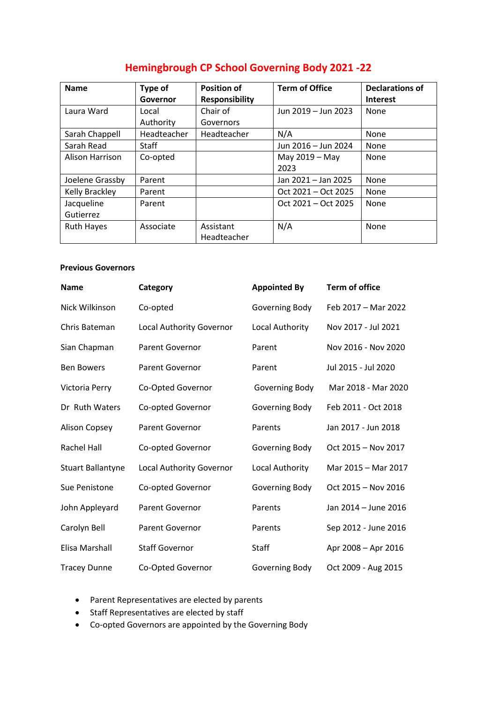| <b>Hemingbrough CP School Governing Body 2021-22</b> |  |  |
|------------------------------------------------------|--|--|
|                                                      |  |  |

| <b>Name</b>       | Type of<br>Governor | <b>Position of</b><br><b>Responsibility</b> | <b>Term of Office</b> | <b>Declarations of</b><br><b>Interest</b> |
|-------------------|---------------------|---------------------------------------------|-----------------------|-------------------------------------------|
| Laura Ward        | Local               | Chair of                                    | Jun 2019 - Jun 2023   | None                                      |
|                   | Authority           | Governors                                   |                       |                                           |
| Sarah Chappell    | Headteacher         | Headteacher                                 | N/A                   | None                                      |
| Sarah Read        | <b>Staff</b>        |                                             | Jun 2016 - Jun 2024   | None                                      |
| Alison Harrison   | Co-opted            |                                             | May 2019 - May        | None                                      |
|                   |                     |                                             | 2023                  |                                           |
| Joelene Grassby   | Parent              |                                             | Jan 2021 - Jan 2025   | None                                      |
| Kelly Brackley    | Parent              |                                             | Oct 2021 – Oct 2025   | None                                      |
| Jacqueline        | Parent              |                                             | Oct $2021 - Oct$ 2025 | None                                      |
| Gutierrez         |                     |                                             |                       |                                           |
| <b>Ruth Hayes</b> | Associate           | Assistant                                   | N/A                   | None                                      |
|                   |                     | Headteacher                                 |                       |                                           |

## **Previous Governors**

| <b>Name</b>              | Category                 | <b>Appointed By</b> | <b>Term of office</b> |
|--------------------------|--------------------------|---------------------|-----------------------|
| Nick Wilkinson           | Co-opted                 | Governing Body      | Feb 2017 - Mar 2022   |
| Chris Bateman            | Local Authority Governor | Local Authority     | Nov 2017 - Jul 2021   |
| Sian Chapman             | <b>Parent Governor</b>   | Parent              | Nov 2016 - Nov 2020   |
| <b>Ben Bowers</b>        | <b>Parent Governor</b>   | Parent              | Jul 2015 - Jul 2020   |
| Victoria Perry           | Co-Opted Governor        | Governing Body      | Mar 2018 - Mar 2020   |
| Dr Ruth Waters           | Co-opted Governor        | Governing Body      | Feb 2011 - Oct 2018   |
| <b>Alison Copsey</b>     | <b>Parent Governor</b>   | Parents             | Jan 2017 - Jun 2018   |
| <b>Rachel Hall</b>       | Co-opted Governor        | Governing Body      | Oct 2015 - Nov 2017   |
| <b>Stuart Ballantyne</b> | Local Authority Governor | Local Authority     | Mar 2015 - Mar 2017   |
| Sue Penistone            | Co-opted Governor        | Governing Body      | Oct 2015 - Nov 2016   |
| John Appleyard           | Parent Governor          | Parents             | Jan 2014 - June 2016  |
| Carolyn Bell             | <b>Parent Governor</b>   | Parents             | Sep 2012 - June 2016  |
| Elisa Marshall           | <b>Staff Governor</b>    | <b>Staff</b>        | Apr 2008 - Apr 2016   |
| <b>Tracey Dunne</b>      | Co-Opted Governor        | Governing Body      | Oct 2009 - Aug 2015   |

- Parent Representatives are elected by parents
- Staff Representatives are elected by staff
- Co-opted Governors are appointed by the Governing Body